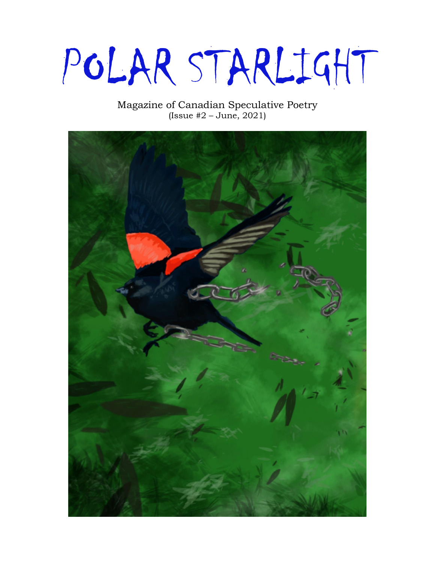POLAR STARLIGHT

Magazine of Canadian Speculative Poetry (Issue  $#2 - June$ , 2021)

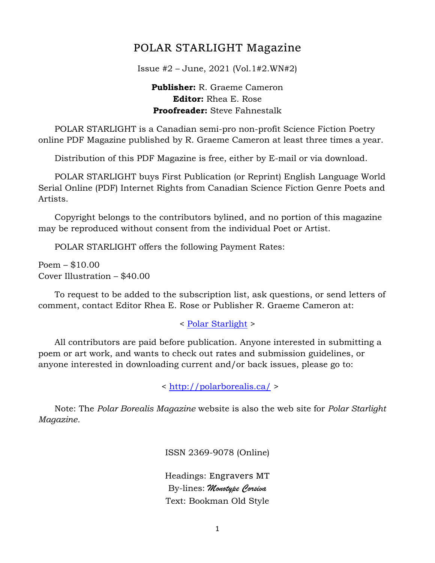## POLAR STARLIGHT Magazine

Issue #2 – June, 2021 (Vol.1#2.WN#2)

#### **Publisher:** R. Graeme Cameron **Editor:** Rhea E. Rose **Proofreader:** Steve Fahnestalk

 POLAR STARLIGHT is a Canadian semi-pro non-profit Science Fiction Poetry online PDF Magazine published by R. Graeme Cameron at least three times a year.

Distribution of this PDF Magazine is free, either by E-mail or via download.

 POLAR STARLIGHT buys First Publication (or Reprint) English Language World Serial Online (PDF) Internet Rights from Canadian Science Fiction Genre Poets and Artists.

 Copyright belongs to the contributors bylined, and no portion of this magazine may be reproduced without consent from the individual Poet or Artist.

POLAR STARLIGHT offers the following Payment Rates:

Poem – \$10.00 Cover Illustration – \$40.00

 To request to be added to the subscription list, ask questions, or send letters of comment, contact Editor Rhea E. Rose or Publisher R. Graeme Cameron at:

< [Polar Starlight](mailto:polar.borealis.magazine@gmail.com) >

 All contributors are paid before publication. Anyone interested in submitting a poem or art work, and wants to check out rates and submission guidelines, or anyone interested in downloading current and/or back issues, please go to:

<<http://polarborealis.ca/> >

 Note: The *Polar Borealis Magazine* website is also the web site for *Polar Starlight Magazine.*

ISSN 2369-9078 (Online)

Headings: Engravers MT By-lines: *Monotype Corsiva* Text: Bookman Old Style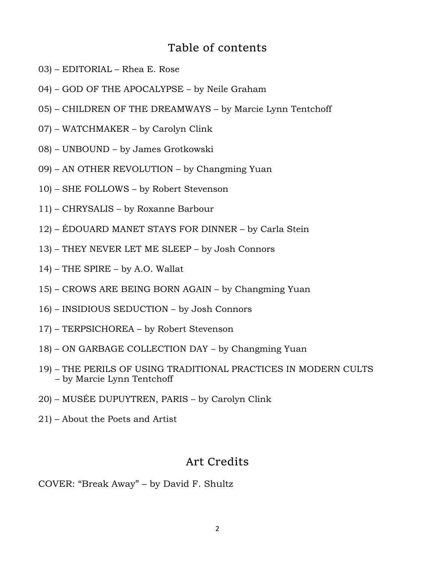## Table of contents

- 03) EDITORIAL Rhea E. Rose
- 04) GOD OF THE APOCALYPSE by Neile Graham
- 05) CHILDREN OF THE DREAMWAYS by Marcie Lynn Tentchoff
- 07) WATCHMAKER by Carolyn Clink
- 08) UNBOUND by James Grotkowski
- 09) AN OTHER REVOLUTION by Changming Yuan
- 10) SHE FOLLOWS by Robert Stevenson
- 11) CHRYSALIS by Roxanne Barbour
- 12) ÉDOUARD MANET STAYS FOR DINNER by Carla Stein
- 13) THEY NEVER LET ME SLEEP by Josh Connors
- 14) THE SPIRE by A.O. Wallat
- 15) CROWS ARE BEING BORN AGAIN by Changming Yuan
- 16) INSIDIOUS SEDUCTION by Josh Connors
- 17) TERPSICHOREA by Robert Stevenson
- 18) ON GARBAGE COLLECTION DAY by Changming Yuan
- 19) THE PERILS OF USING TRADITIONAL PRACTICES IN MODERN CULTS – by Marcie Lynn Tentchoff
- 20) MUSÉE DUPUYTREN, PARIS by Carolyn Clink
- 21) About the Poets and Artist

## Art Credits

COVER: "Break Away" – by David F. Shultz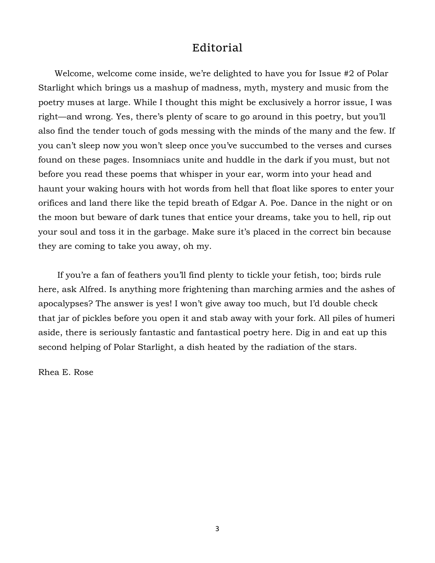## Editorial

 Welcome, welcome come inside, we're delighted to have you for Issue #2 of Polar Starlight which brings us a mashup of madness, myth, mystery and music from the poetry muses at large. While I thought this might be exclusively a horror issue, I was right—and wrong. Yes, there's plenty of scare to go around in this poetry, but you'll also find the tender touch of gods messing with the minds of the many and the few. If you can't sleep now you won't sleep once you've succumbed to the verses and curses found on these pages. Insomniacs unite and huddle in the dark if you must, but not before you read these poems that whisper in your ear, worm into your head and haunt your waking hours with hot words from hell that float like spores to enter your orifices and land there like the tepid breath of Edgar A. Poe. Dance in the night or on the moon but beware of dark tunes that entice your dreams, take you to hell, rip out your soul and toss it in the garbage. Make sure it's placed in the correct bin because they are coming to take you away, oh my.

 If you're a fan of feathers you'll find plenty to tickle your fetish, too; birds rule here, ask Alfred. Is anything more frightening than marching armies and the ashes of apocalypses? The answer is yes! I won't give away too much, but I'd double check that jar of pickles before you open it and stab away with your fork. All piles of humeri aside, there is seriously fantastic and fantastical poetry here. Dig in and eat up this second helping of Polar Starlight, a dish heated by the radiation of the stars.

Rhea E. Rose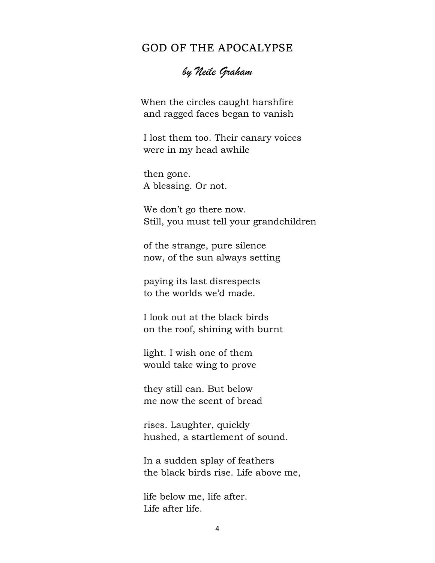### GOD OF THE APOCALYPSE

## *by Neile Graham*

When the circles caught harshfire and ragged faces began to vanish

I lost them too. Their canary voices were in my head awhile

then gone. A blessing. Or not.

We don't go there now. Still, you must tell your grandchildren

of the strange, pure silence now, of the sun always setting

paying its last disrespects to the worlds we'd made.

I look out at the black birds on the roof, shining with burnt

light. I wish one of them would take wing to prove

they still can. But below me now the scent of bread

rises. Laughter, quickly hushed, a startlement of sound.

In a sudden splay of feathers the black birds rise. Life above me,

life below me, life after. Life after life.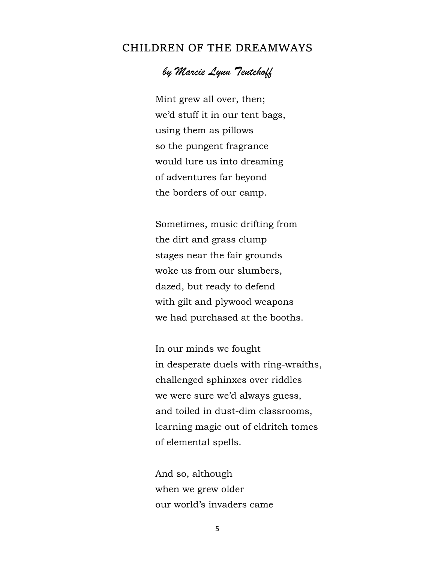### CHILDREN OF THE DREAMWAYS

## *by Marcie Lynn Tentchoff*

 Mint grew all over, then; we'd stuff it in our tent bags, using them as pillows so the pungent fragrance would lure us into dreaming of adventures far beyond the borders of our camp.

 Sometimes, music drifting from the dirt and grass clump stages near the fair grounds woke us from our slumbers, dazed, but ready to defend with gilt and plywood weapons we had purchased at the booths.

 In our minds we fought in desperate duels with ring-wraiths, challenged sphinxes over riddles we were sure we'd always guess, and toiled in dust-dim classrooms, learning magic out of eldritch tomes of elemental spells.

 And so, although when we grew older our world's invaders came

5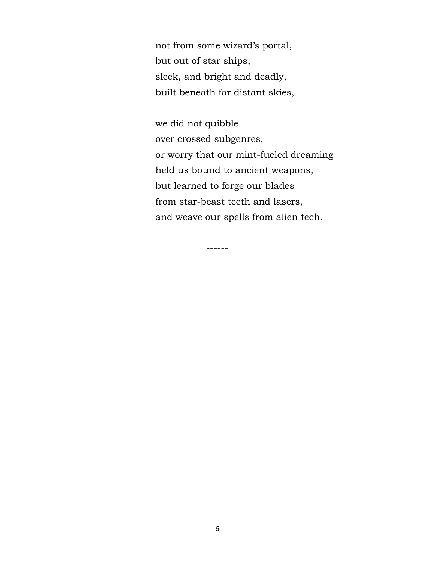not from some wizard's portal, but out of star ships, sleek, and bright and deadly, built beneath far distant skies,

 we did not quibble over crossed subgenres, or worry that our mint-fueled dreaming held us bound to ancient weapons, but learned to forge our blades from star-beast teeth and lasers, and weave our spells from alien tech.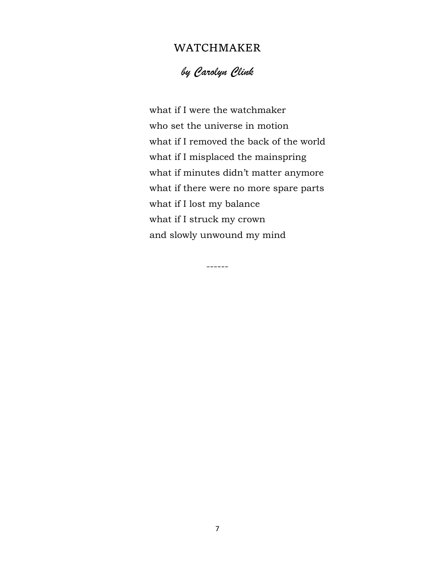### WATCHMAKER

*by Carolyn Clink*

 what if I were the watchmaker who set the universe in motion what if I removed the back of the world what if I misplaced the mainspring what if minutes didn't matter anymore what if there were no more spare parts what if I lost my balance what if I struck my crown and slowly unwound my mind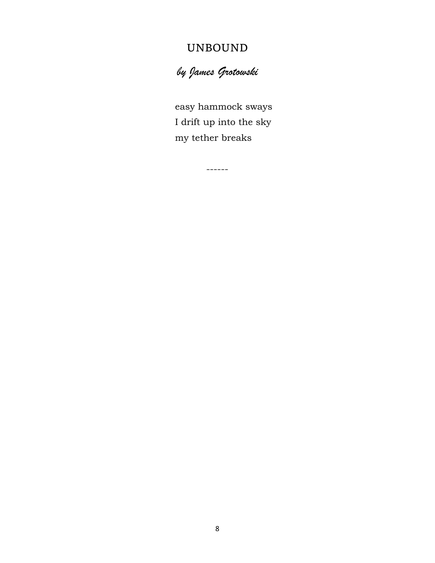# UNBOUND

*by James Grotowski*

easy hammock sways I drift up into the sky my tether breaks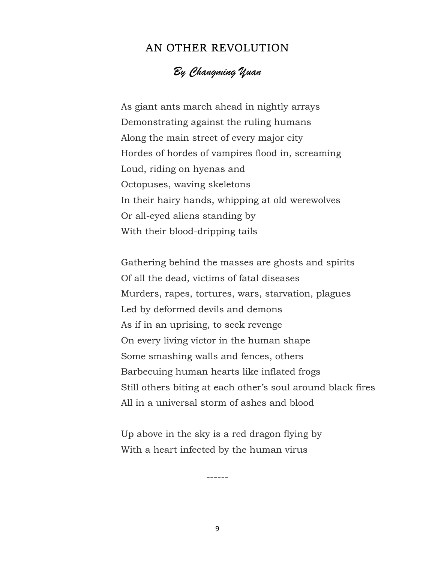#### AN OTHER REVOLUTION

## *By Changming Yuan*

 As giant ants march ahead in nightly arrays Demonstrating against the ruling humans Along the main street of every major city Hordes of hordes of vampires flood in, screaming Loud, riding on hyenas and Octopuses, waving skeletons In their hairy hands, whipping at old werewolves Or all-eyed aliens standing by With their blood-dripping tails

 Gathering behind the masses are ghosts and spirits Of all the dead, victims of fatal diseases Murders, rapes, tortures, wars, starvation, plagues Led by deformed devils and demons As if in an uprising, to seek revenge On every living victor in the human shape Some smashing walls and fences, others Barbecuing human hearts like inflated frogs Still others biting at each other's soul around black fires All in a universal storm of ashes and blood

 Up above in the sky is a red dragon flying by With a heart infected by the human virus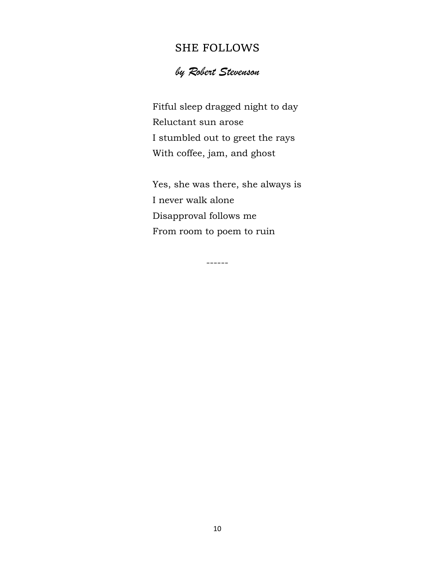## SHE FOLLOWS

# *by Robert Stevenson*

 Fitful sleep dragged night to day Reluctant sun arose I stumbled out to greet the rays With coffee, jam, and ghost

 Yes, she was there, she always is I never walk alone Disapproval follows me From room to poem to ruin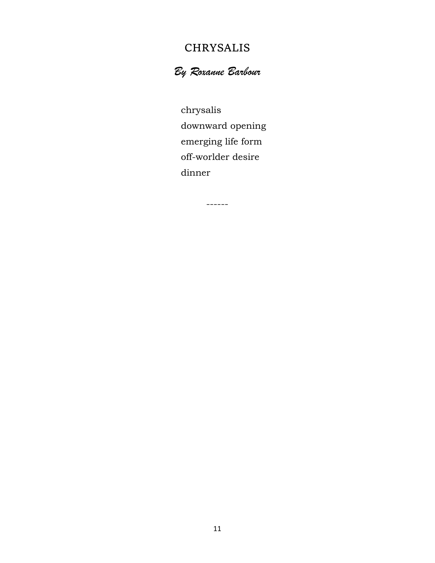## CHRYSALIS

# *By Roxanne Barbour*

 chrysalis downward opening emerging life form off-worlder desire dinner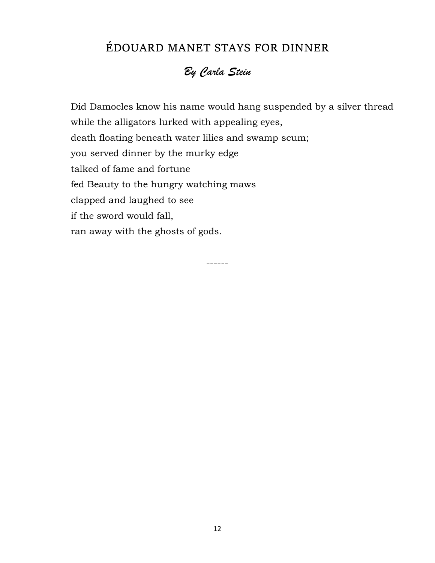# ÉDOUARD MANET STAYS FOR DINNER

# *By Carla Stein*

 Did Damocles know his name would hang suspended by a silver thread while the alligators lurked with appealing eyes, death floating beneath water lilies and swamp scum; you served dinner by the murky edge talked of fame and fortune fed Beauty to the hungry watching maws clapped and laughed to see if the sword would fall, ran away with the ghosts of gods.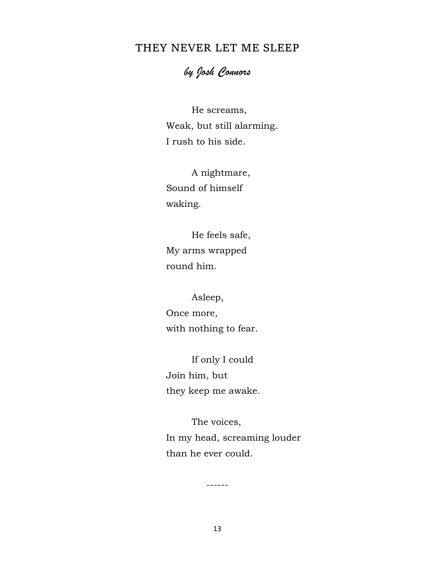## THEY NEVER LET ME SLEEP

## *by Josh Connors*

He screams, Weak, but still alarming. I rush to his side.

A nightmare, Sound of himself waking.

He feels safe, My arms wrapped round him.

Asleep, Once more,

with nothing to fear.

If only I could Join him, but they keep me awake.

The voices, In my head, screaming louder than he ever could.

13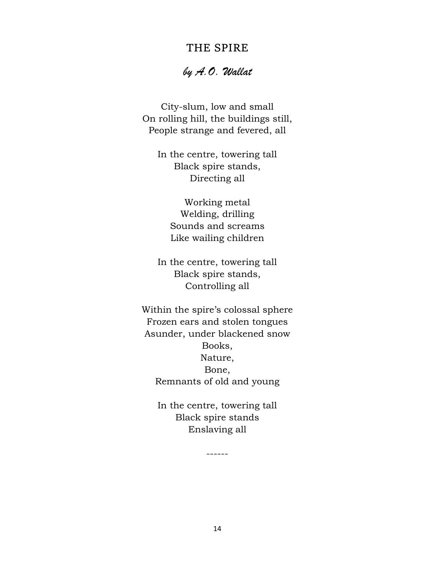### THE SPIRE

### *by A.O. Wallat*

City-slum, low and small On rolling hill, the buildings still, People strange and fevered, all

In the centre, towering tall Black spire stands, Directing all

Working metal Welding, drilling Sounds and screams Like wailing children

In the centre, towering tall Black spire stands, Controlling all

Within the spire's colossal sphere Frozen ears and stolen tongues Asunder, under blackened snow Books, Nature, Bone, Remnants of old and young

In the centre, towering tall Black spire stands Enslaving all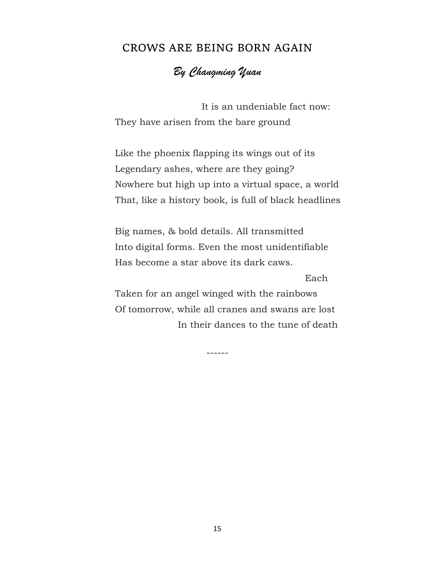#### CROWS ARE BEING BORN AGAIN

## *By Changming Yuan*

 It is an undeniable fact now: They have arisen from the bare ground

Like the phoenix flapping its wings out of its Legendary ashes, where are they going? Nowhere but high up into a virtual space, a world That, like a history book, is full of black headlines

Big names, & bold details. All transmitted Into digital forms. Even the most unidentifiable Has become a star above its dark caws.

Each

Taken for an angel winged with the rainbows Of tomorrow, while all cranes and swans are lost In their dances to the tune of death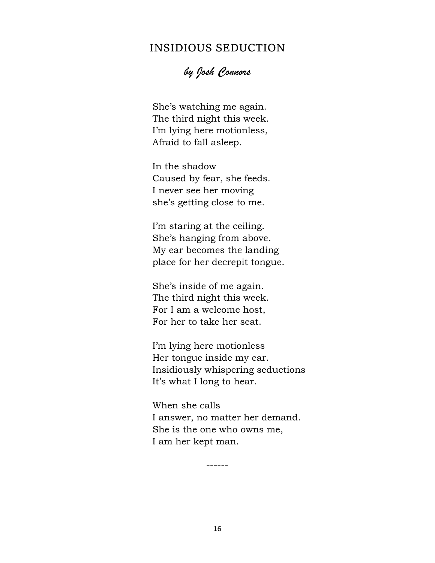## INSIDIOUS SEDUCTION

*by Josh Connors*

 She's watching me again. The third night this week. I'm lying here motionless, Afraid to fall asleep.

 In the shadow Caused by fear, she feeds. I never see her moving she's getting close to me.

 I'm staring at the ceiling. She's hanging from above. My ear becomes the landing place for her decrepit tongue.

 She's inside of me again. The third night this week. For I am a welcome host, For her to take her seat.

 I'm lying here motionless Her tongue inside my ear. Insidiously whispering seductions It's what I long to hear.

 When she calls I answer, no matter her demand. She is the one who owns me, I am her kept man.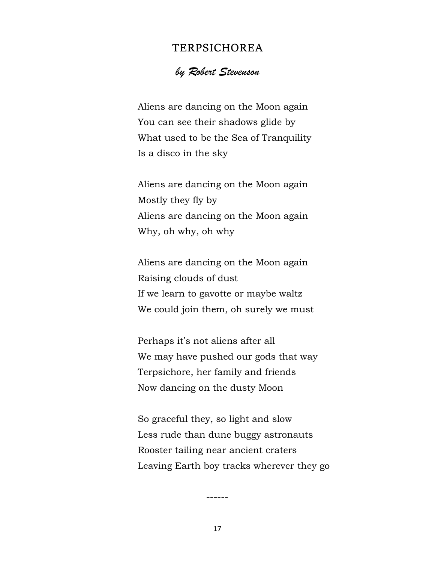#### TERPSICHOREA

#### *by Robert Stevenson*

Aliens are dancing on the Moon again You can see their shadows glide by What used to be the Sea of Tranquility Is a disco in the sky

Aliens are dancing on the Moon again Mostly they fly by Aliens are dancing on the Moon again Why, oh why, oh why

Aliens are dancing on the Moon again Raising clouds of dust If we learn to gavotte or maybe waltz We could join them, oh surely we must

Perhaps it's not aliens after all We may have pushed our gods that way Terpsichore, her family and friends Now dancing on the dusty Moon

So graceful they, so light and slow Less rude than dune buggy astronauts Rooster tailing near ancient craters Leaving Earth boy tracks wherever they go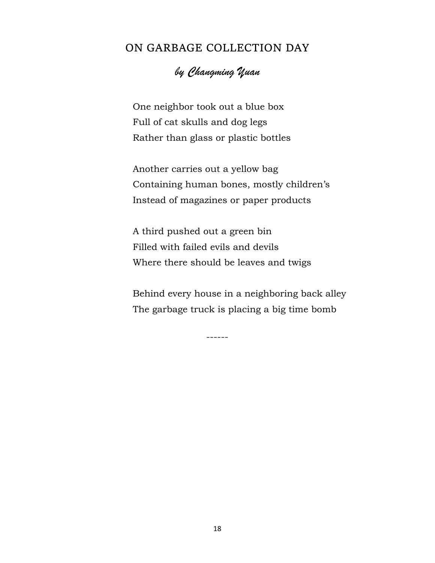## ON GARBAGE COLLECTION DAY

# *by Changming Yuan*

 One neighbor took out a blue box Full of cat skulls and dog legs Rather than glass or plastic bottles

 Another carries out a yellow bag Containing human bones, mostly children's Instead of magazines or paper products

 A third pushed out a green bin Filled with failed evils and devils Where there should be leaves and twigs

 Behind every house in a neighboring back alley The garbage truck is placing a big time bomb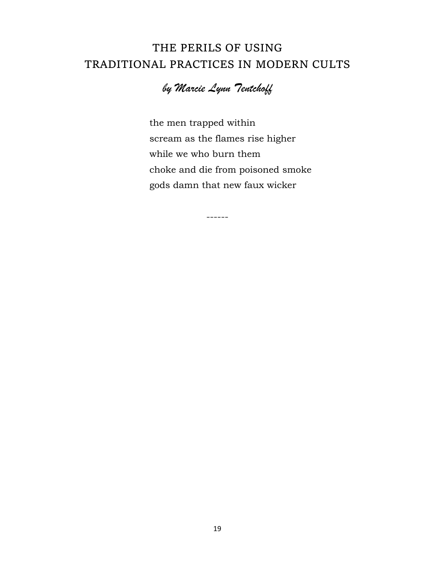# THE PERILS OF USING TRADITIONAL PRACTICES IN MODERN CULTS

# *by Marcie Lynn Tentchoff*

------

 the men trapped within scream as the flames rise higher while we who burn them choke and die from poisoned smoke gods damn that new faux wicker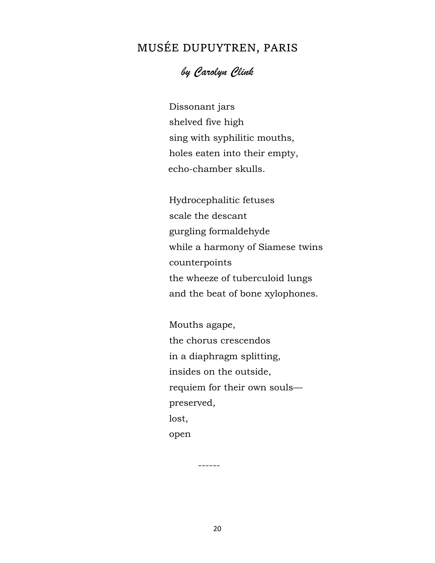# MUSÉE DUPUYTREN, PARIS

## *by Carolyn Clink*

Dissonant jars shelved five high sing with syphilitic mouths, holes eaten into their empty, echo-chamber skulls.

Hydrocephalitic fetuses scale the descant gurgling formaldehyde while a harmony of Siamese twins counterpoints the wheeze of tuberculoid lungs and the beat of bone xylophones.

Mouths agape, the chorus crescendos in a diaphragm splitting, insides on the outside, requiem for their own souls preserved, lost, open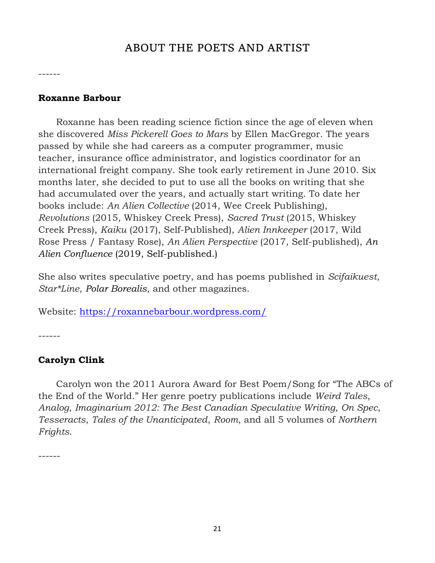## ABOUT THE POETS AND ARTIST

------

#### **Roxanne Barbour**

 Roxanne has been reading science fiction since the age of eleven when she discovered *Miss Pickerell Goes to Mars* by Ellen MacGregor. The years passed by while she had careers as a computer programmer, music teacher, insurance office administrator, and logistics coordinator for an international freight company. She took early retirement in June 2010. Six months later, she decided to put to use all the books on writing that she had accumulated over the years, and actually start writing. To date her books include: *An Alien Collective* (2014, Wee Creek Publishing), *Revolutions* (2015, Whiskey Creek Press), *Sacred Trust* (2015, Whiskey Creek Press), *Kaiku* (2017), Self-Published), *Alien Innkeeper* (2017, Wild Rose Press / Fantasy Rose), *An Alien Perspective* (2017, Self-published), *An Alien Confluence* (2019, Self-published.)

She also writes speculative poetry, and has poems published in *Scifaikuest*, *Star\*Line*, *Polar Borealis*, and other magazines.

Website:<https://roxannebarbour.wordpress.com/>

------

#### **Carolyn Clink**

 Carolyn won the 2011 Aurora Award for Best Poem/Song for "The ABCs of the End of the World." Her genre poetry publications include *Weird Tales*, *Analog*, *Imaginarium 2012: The Best Canadian Speculative Writing, On Spec*, *Tesseracts*, *Tales of the Unanticipated*, *Room*, and all 5 volumes of *Northern Frights*.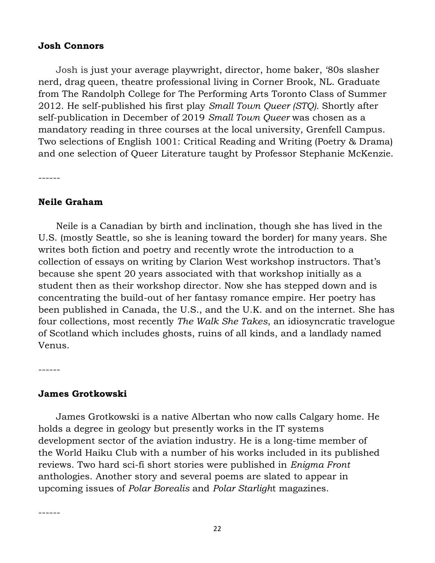#### **Josh Connors**

 Josh is just your average playwright, director, home baker, '80s slasher nerd, drag queen, theatre professional living in Corner Brook, NL. Graduate from The Randolph College for The Performing Arts Toronto Class of Summer 2012. He self-published his first play *Small Town Queer (STQ).* Shortly after self-publication in December of 2019 *Small Town Queer* was chosen as a mandatory reading in three courses at the local university, Grenfell Campus. Two selections of English 1001: Critical Reading and Writing (Poetry & Drama) and one selection of Queer Literature taught by Professor Stephanie McKenzie.

------

#### **Neile Graham**

 Neile is a Canadian by birth and inclination, though she has lived in the U.S. (mostly Seattle, so she is leaning toward the border) for many years. She writes both fiction and poetry and recently wrote the introduction to a collection of essays on writing by Clarion West workshop instructors. That's because she spent 20 years associated with that workshop initially as a student then as their workshop director. Now she has stepped down and is concentrating the build-out of her fantasy romance empire. Her poetry has been published in Canada, the U.S., and the U.K. and on the internet. She has four collections, most recently *The Walk She Takes*, an idiosyncratic travelogue of Scotland which includes ghosts, ruins of all kinds, and a landlady named Venus.

------

#### **James Grotkowski**

 James Grotkowski is a native Albertan who now calls Calgary home. He holds a degree in geology but presently works in the IT systems development sector of the aviation industry. He is a long-time member of the World Haiku Club with a number of his works included in its published reviews. Two hard sci-fi short stories were published in *Enigma Front* anthologies. Another story and several poems are slated to appear in upcoming issues of *Polar Borealis* and *Polar Starligh*t magazines.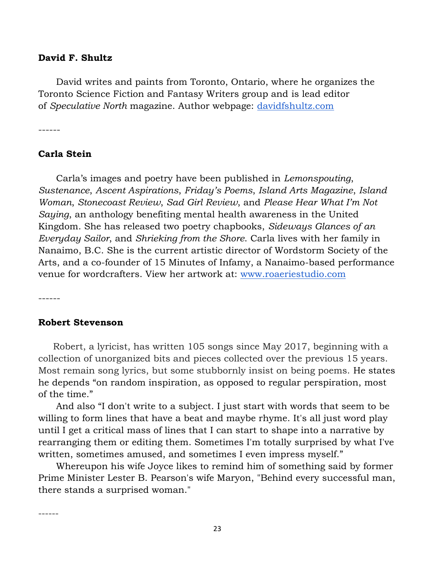#### **David F. Shultz**

 David writes and paints from Toronto, Ontario, where he organizes the Toronto Science Fiction and Fantasy Writers group and is lead editor of *Speculative North* magazine. Author webpage: [davidfshultz.com](https://davidfshultz.com/about/)

------

#### **Carla Stein**

 Carla's images and poetry have been published in *Lemonspouting*, *Sustenance*, *Ascent Aspirations*, *Friday's Poems*, *Island Arts Magazine*, *Island Woman*, *Stonecoast Review*, *Sad Girl Review*, and *Please Hear What I'm Not Saying*, an anthology benefiting mental health awareness in the United Kingdom. She has released two poetry chapbooks, *Sideways Glances of an Everyday Sailor*, and *Shrieking from the Shore*. Carla lives with her family in Nanaimo, B.C. She is the current artistic director of Wordstorm Society of the Arts, and a co-founder of 15 Minutes of Infamy, a Nanaimo-based performance venue for wordcrafters. View her artwork at: [www.roaeriestudio.com](http://www.roaeriestudio.com/) 

------

------

#### **Robert Stevenson**

 Robert, a lyricist, has written 105 songs since May 2017, beginning with a collection of unorganized bits and pieces collected over the previous 15 years. Most remain song lyrics, but some stubbornly insist on being poems. He states he depends "on random inspiration, as opposed to regular perspiration, most of the time."

 And also "I don't write to a subject. I just start with words that seem to be willing to form lines that have a beat and maybe rhyme. It's all just word play until I get a critical mass of lines that I can start to shape into a narrative by rearranging them or editing them. Sometimes I'm totally surprised by what I've written, sometimes amused, and sometimes I even impress myself."

 Whereupon his wife Joyce likes to remind him of something said by former Prime Minister Lester B. Pearson's wife Maryon, "Behind every successful man, there stands a surprised woman."